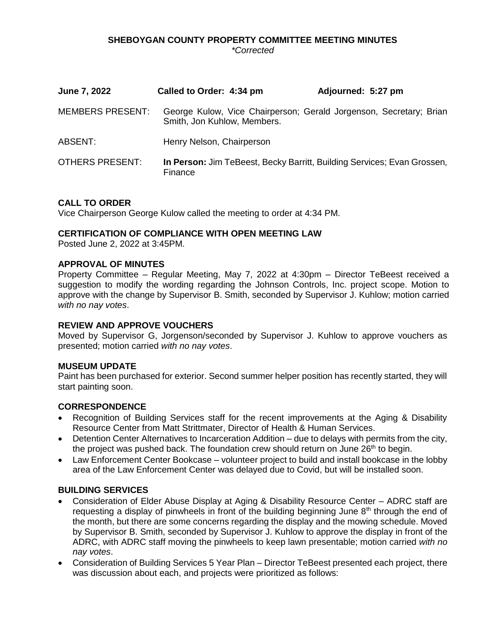## **SHEBOYGAN COUNTY PROPERTY COMMITTEE MEETING MINUTES** *\*Corrected*

| <b>June 7, 2022</b>     | Called to Order: 4:34 pm                                                                          | Adjourned: 5:27 pm |
|-------------------------|---------------------------------------------------------------------------------------------------|--------------------|
| <b>MEMBERS PRESENT:</b> | George Kulow, Vice Chairperson; Gerald Jorgenson, Secretary; Brian<br>Smith, Jon Kuhlow, Members. |                    |
| ABSENT:                 | Henry Nelson, Chairperson                                                                         |                    |
| <b>OTHERS PRESENT:</b>  | In Person: Jim TeBeest, Becky Barritt, Building Services; Evan Grossen,<br>Finance                |                    |

## **CALL TO ORDER**

Vice Chairperson George Kulow called the meeting to order at 4:34 PM.

## **CERTIFICATION OF COMPLIANCE WITH OPEN MEETING LAW**

Posted June 2, 2022 at 3:45PM.

## **APPROVAL OF MINUTES**

Property Committee – Regular Meeting, May 7, 2022 at 4:30pm – Director TeBeest received a suggestion to modify the wording regarding the Johnson Controls, Inc. project scope. Motion to approve with the change by Supervisor B. Smith, seconded by Supervisor J. Kuhlow; motion carried *with no nay votes*.

## **REVIEW AND APPROVE VOUCHERS**

Moved by Supervisor G, Jorgenson/seconded by Supervisor J. Kuhlow to approve vouchers as presented; motion carried *with no nay votes*.

### **MUSEUM UPDATE**

Paint has been purchased for exterior. Second summer helper position has recently started, they will start painting soon.

### **CORRESPONDENCE**

- Recognition of Building Services staff for the recent improvements at the Aging & Disability Resource Center from Matt Strittmater, Director of Health & Human Services.
- Detention Center Alternatives to Incarceration Addition due to delays with permits from the city, the project was pushed back. The foundation crew should return on June  $26<sup>th</sup>$  to begin.
- Law Enforcement Center Bookcase volunteer project to build and install bookcase in the lobby area of the Law Enforcement Center was delayed due to Covid, but will be installed soon.

## **BUILDING SERVICES**

- Consideration of Elder Abuse Display at Aging & Disability Resource Center ADRC staff are requesting a display of pinwheels in front of the building beginning June  $8<sup>th</sup>$  through the end of the month, but there are some concerns regarding the display and the mowing schedule. Moved by Supervisor B. Smith, seconded by Supervisor J. Kuhlow to approve the display in front of the ADRC, with ADRC staff moving the pinwheels to keep lawn presentable; motion carried *with no nay votes*.
- Consideration of Building Services 5 Year Plan Director TeBeest presented each project, there was discussion about each, and projects were prioritized as follows: